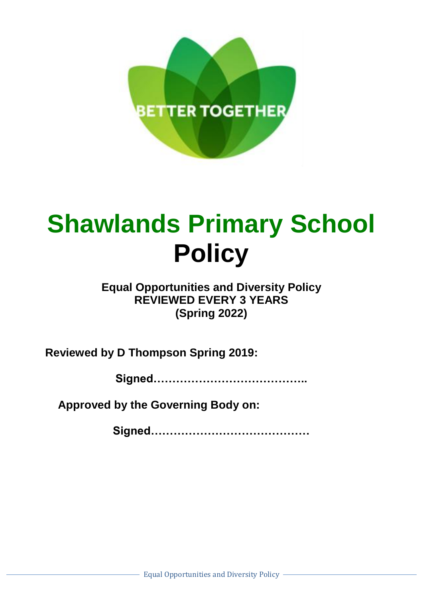

# **Shawlands Primary School Policy**

# **Equal Opportunities and Diversity Policy REVIEWED EVERY 3 YEARS (Spring 2022)**

**Reviewed by D Thompson Spring 2019:**

**Signed…………………………………..**

**Approved by the Governing Body on:**

**Signed……………………………………**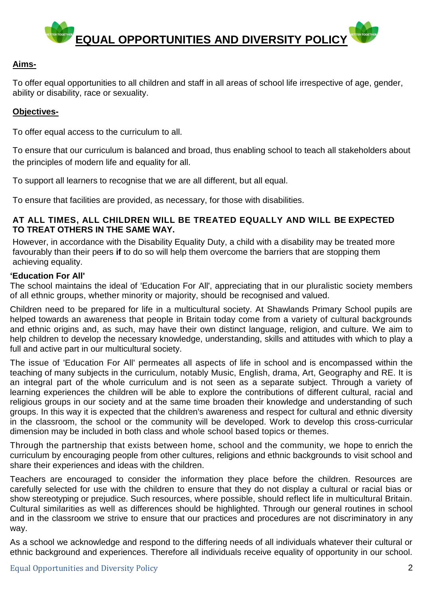

## **Aims-**

To offer equal opportunities to all children and staff in all areas of school life irrespective of age, gender, ability or disability, race or sexuality.

## **Objectives-**

To offer equal access to the curriculum to all.

To ensure that our curriculum is balanced and broad, thus enabling school to teach all stakeholders about the principles of modern life and equality for all.

To support all learners to recognise that we are all different, but all equal.

To ensure that facilities are provided, as necessary, for those with disabilities.

#### **AT ALL TIMES, ALL CHILDREN WILL BE TREATED EQUALLY AND WILL BE EXPECTED TO TREAT OTHERS IN THE SAME WAY.**

However, in accordance with the Disability Equality Duty, a child with a disability may be treated more favourably than their peers **if** to do so will help them overcome the barriers that are stopping them achieving equality.

#### **'Education For All'**

The school maintains the ideal of 'Education For All', appreciating that in our pluralistic society members of all ethnic groups, whether minority or majority, should be recognised and valued.

Children need to be prepared for life in a multicultural society. At Shawlands Primary School pupils are helped towards an awareness that people in Britain today come from a variety of cultural backgrounds and ethnic origins and, as such, may have their own distinct language, religion, and culture. We aim to help children to develop the necessary knowledge, understanding, skills and attitudes with which to play a full and active part in our multicultural society.

The issue of 'Education For All' permeates all aspects of life in school and is encompassed within the teaching of many subjects in the curriculum, notably Music, English, drama, Art, Geography and RE. It is an integral part of the whole curriculum and is not seen as a separate subject. Through a variety of learning experiences the children will be able to explore the contributions of different cultural, racial and religious groups in our society and at the same time broaden their knowledge and understanding of such groups. In this way it is expected that the children's awareness and respect for cultural and ethnic diversity in the classroom, the school or the community will be developed. Work to develop this cross-curricular dimension may be included in both class and whole school based topics or themes.

Through the partnership that exists between home, school and the community, we hope to enrich the curriculum by encouraging people from other cultures, religions and ethnic backgrounds to visit school and share their experiences and ideas with the children.

Teachers are encouraged to consider the information they place before the children. Resources are carefully selected for use with the children to ensure that they do not display a cultural or racial bias or show stereotyping or prejudice. Such resources, where possible, should reflect life in multicultural Britain. Cultural similarities as well as differences should be highlighted. Through our general routines in school and in the classroom we strive to ensure that our practices and procedures are not discriminatory in any way.

As a school we acknowledge and respond to the differing needs of all individuals whatever their cultural or ethnic background and experiences. Therefore all individuals receive equality of opportunity in our school.